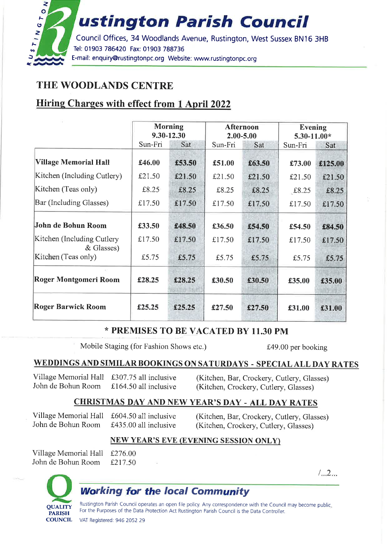

### THE WOODLANDS CENTRE

### **Hiring Charges with effect from 1 April 2022**

|                                          | <b>Morning</b><br>9.30-12.30 |           | <b>Afternoon</b><br>2.00-5.00 |        | Evening<br>$5.30 - 11.00*$ |            |
|------------------------------------------|------------------------------|-----------|-------------------------------|--------|----------------------------|------------|
|                                          | Sun-Fri                      | Sat       | Sun-Fri                       | Sat    | Sun-Fri                    | <b>Sat</b> |
| <b>Village Memorial Hall</b>             | £46.00                       | £53.50    | £51.00                        | £63.50 | £73.00                     | £125.00    |
| Kitchen (Including Cutlery)              | £21.50                       | £ $21.50$ | £21.50                        | £21.50 | £21.50                     | £21.50     |
| Kitchen (Teas only)                      | £8.25                        | £8.25     | £8.25                         | £8.25  | £8.25                      | £8.25      |
| Bar (Including Glasses)                  | £17.50                       | £17.50    | £17.50                        | £17.50 | £17.50                     | £17.50     |
| John de Bohun Room                       | £33.50                       | £48.50    | £36.50                        | £54.50 | £54.50                     | £84.50     |
| Kitchen (Including Cutlery<br>& Glasses) | £17.50                       | £17.50    | £17.50                        | £17.50 | £17.50                     | £17,50     |
| Kitchen (Teas only)                      | £5.75                        | £5.75     | £5.75                         | £5.75  | £5.75                      | £5.75      |
| Roger Montgomeri Room                    | £28.25                       | £28.25    | £30.50                        | £30.50 | £35.00                     | £35.00     |
| <b>Roger Barwick Room</b>                | £25.25                       | £25.25    | £27.50                        | £27.50 | £31.00                     | £31.00     |

### \* PREMISES TO BE VACATED BY 11.30 PM

Mobile Staging (for Fashion Shows etc.)

£49.00 per booking

### WEDDINGS AND SIMILAR BOOKINGS ON SATURDAYS - SPECIAL ALL DAY RATES

Village Memorial Hall £307.75 all inclusive John de Bohun Room £164.50 all inclusive

(Kitchen, Bar, Crockery, Cutlery, Glasses) (Kitchen, Crockery, Cutlery, Glasses)

### **CHRISTMAS DAY AND NEW YEAR'S DAY - ALL DAY RATES**

Village Memorial Hall £604.50 all inclusive John de Bohun Room

£435.00 all inclusive

(Kitchen, Bar, Crockery, Cutlery, Glasses) (Kitchen, Crockery, Cutlery, Glasses)

#### **NEW YEAR'S EVE (EVENING SESSION ONLY)**

Village Memorial Hall John de Bohun Room

£276.00 £217.50

 $/$ ...2...



### **Working for the local Community**

Rustington Parish Council operates an open file policy. Any correspondence with the Council may become public, For the Purposes of the Data Protection Act Rustington Parish Council is the Data Controller.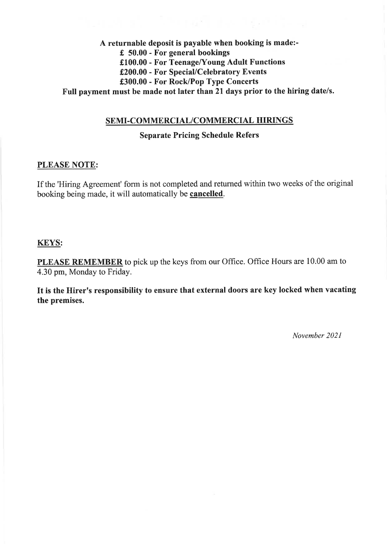### A returnable deposit is payable when booking is made:- $£ 50.00$  - For general bookings £100.00 - For Teenage/Young Adult Functions £200.00 - For Special/Celebratory Events £300.00 - For Rock/Pop Type Concerts Full payment must be made not later than 21 days prior to the hiring date/s.

#### SEMI-COMMERCIAL/COMMERCIAL HIRINGS

#### **Separate Pricing Schedule Refers**

#### **PLEASE NOTE:**

If the 'Hiring Agreement' form is not completed and returned within two weeks of the original booking being made, it will automatically be cancelled.

#### **KEYS:**

**PLEASE REMEMBER** to pick up the keys from our Office. Office Hours are 10.00 am to 4.30 pm, Monday to Friday.

It is the Hirer's responsibility to ensure that external doors are key locked when vacating the premises.

November 2021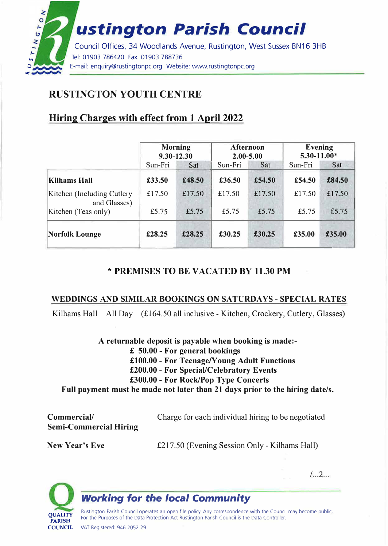

# **RUSTINGTON YOUTH CENTRE**

## **Hiring Charges with effect from 1 April 2022**

|                                            | <b>Morning</b><br>9.30-12.30 |        | <b>Afternoon</b><br>$2.00 - 5.00$ |        | <b>Evening</b><br>$5.30 - 11.00*$ |        |
|--------------------------------------------|------------------------------|--------|-----------------------------------|--------|-----------------------------------|--------|
|                                            | Sun-Fri                      | Sat    | Sun-Fri                           | Sat    | Sun-Fri                           | Sat    |
| <b>Kilhams Hall</b>                        | £33.50                       | £48.50 | £36.50                            | £54.50 | £54.50                            | £84.50 |
| Kitchen (Including Cutlery<br>and Glasses) | £17.50                       | £17.50 | £17.50                            | £17.50 | £17.50                            | £17.50 |
| Kitchen (Teas only)                        | £5.75                        | £5.75  | £5.75                             | £5.75  | £5.75                             | £5.75  |
| <b>Norfolk Lounge</b>                      | £28.25                       | £28.25 | £30.25                            | £30.25 | £35.00                            | £35.00 |

### \* **PREMISES TO BE VACATED BY 11.30 PM**

### **WEDDINGS AND SIMILAR BOOKINGS ON SATURDAYS - SPECIAL RATES**

Kilhams Hall All Day (£164.50 all inclusive - Kitchen, Crockery, Cutlery, Glasses)

**A returnable deposit is payable when booking is made:** £ **50.00 - For general bookings**  £100.00 - For Teenage/Young Adult Functions **£200.00 - For Special/Celebratory Events £300.00 - For Rock/Pop Type Concerts Full payment must be made not later than 21 days prior to the hiring date/s.** 

| Commercial/                   | Charge for each individual hiring to be negotiated |
|-------------------------------|----------------------------------------------------|
| <b>Semi-Commercial Hiring</b> |                                                    |

**New Year's Eve** 

£217.50 (Evening Session Only- Kilhams Hall)

 $1.2...$ 



## *Working for the local Community*

Rustington Parish Council operates an open file policy. Any correspondence with the Council may become public. For the Purposes of the Data Protection Act Rustington Parish Council is the Data Controller. VAT Registered: 946 2052 29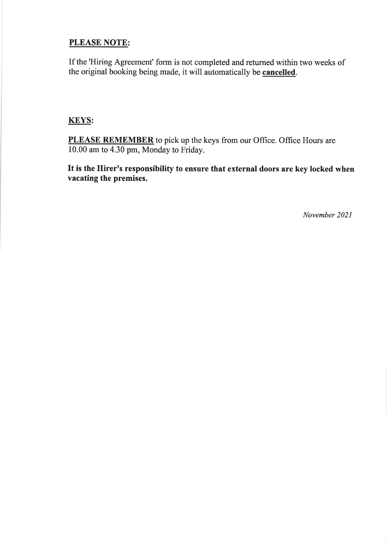### **PLEASE NOTE:**

If the 'Hiring Agreement' form is not completed and returned within two weeks of the original booking being made, it will automatically be cancelled.

### **KEYS:**

PLEASE REMEMBER to pick up the keys from our Office. Office Hours are 10.00 am to 4.30 pm, Monday to Friday.

It is the Hirer's responsibility to ensure that external doors are key locked when vacating the premises.

November 2021